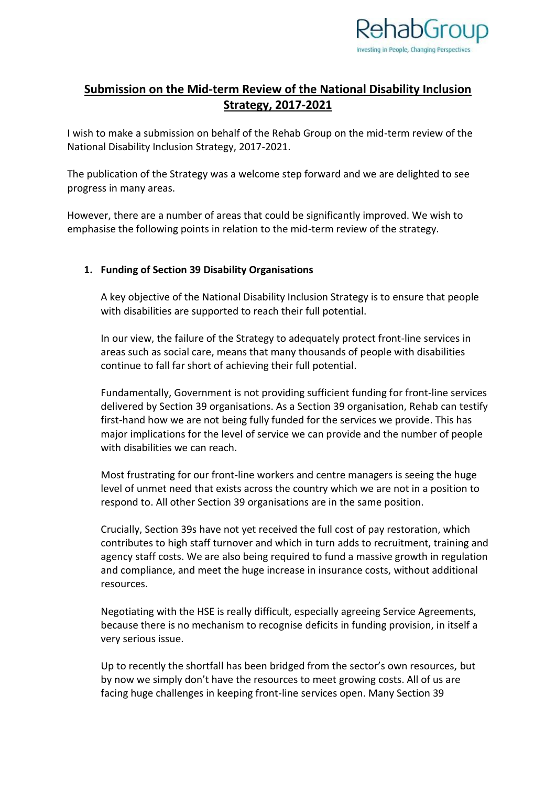

# **Submission on the Mid-term Review of the National Disability Inclusion Strategy, 2017-2021**

I wish to make a submission on behalf of the Rehab Group on the mid-term review of the National Disability Inclusion Strategy, 2017-2021.

The publication of the Strategy was a welcome step forward and we are delighted to see progress in many areas.

However, there are a number of areas that could be significantly improved. We wish to emphasise the following points in relation to the mid-term review of the strategy.

### **1. Funding of Section 39 Disability Organisations**

A key objective of the National Disability Inclusion Strategy is to ensure that people with disabilities are supported to reach their full potential.

In our view, the failure of the Strategy to adequately protect front-line services in areas such as social care, means that many thousands of people with disabilities continue to fall far short of achieving their full potential.

Fundamentally, Government is not providing sufficient funding for front-line services delivered by Section 39 organisations. As a Section 39 organisation, Rehab can testify first-hand how we are not being fully funded for the services we provide. This has major implications for the level of service we can provide and the number of people with disabilities we can reach.

Most frustrating for our front-line workers and centre managers is seeing the huge level of unmet need that exists across the country which we are not in a position to respond to. All other Section 39 organisations are in the same position.

Crucially, Section 39s have not yet received the full cost of pay restoration, which contributes to high staff turnover and which in turn adds to recruitment, training and agency staff costs. We are also being required to fund a massive growth in regulation and compliance, and meet the huge increase in insurance costs, without additional resources.

Negotiating with the HSE is really difficult, especially agreeing Service Agreements, because there is no mechanism to recognise deficits in funding provision, in itself a very serious issue.

Up to recently the shortfall has been bridged from the sector's own resources, but by now we simply don't have the resources to meet growing costs. All of us are facing huge challenges in keeping front-line services open. Many Section 39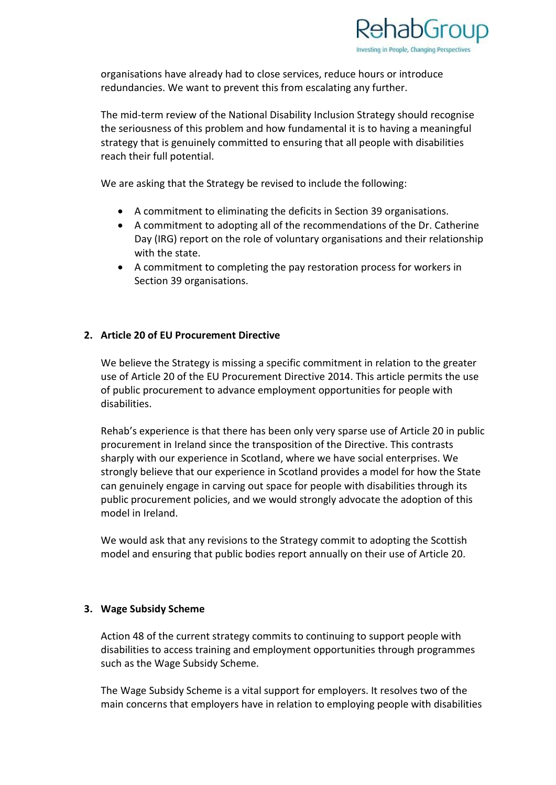

organisations have already had to close services, reduce hours or introduce redundancies. We want to prevent this from escalating any further.

The mid-term review of the National Disability Inclusion Strategy should recognise the seriousness of this problem and how fundamental it is to having a meaningful strategy that is genuinely committed to ensuring that all people with disabilities reach their full potential.

We are asking that the Strategy be revised to include the following:

- A commitment to eliminating the deficits in Section 39 organisations.
- A commitment to adopting all of the recommendations of the Dr. Catherine Day (IRG) report on the role of voluntary organisations and their relationship with the state.
- A commitment to completing the pay restoration process for workers in Section 39 organisations.

# **2. Article 20 of EU Procurement Directive**

We believe the Strategy is missing a specific commitment in relation to the greater use of Article 20 of the EU Procurement Directive 2014. This article permits the use of public procurement to advance employment opportunities for people with disabilities.

Rehab's experience is that there has been only very sparse use of Article 20 in public procurement in Ireland since the transposition of the Directive. This contrasts sharply with our experience in Scotland, where we have social enterprises. We strongly believe that our experience in Scotland provides a model for how the State can genuinely engage in carving out space for people with disabilities through its public procurement policies, and we would strongly advocate the adoption of this model in Ireland.

We would ask that any revisions to the Strategy commit to adopting the Scottish model and ensuring that public bodies report annually on their use of Article 20.

#### **3. Wage Subsidy Scheme**

Action 48 of the current strategy commits to continuing to support people with disabilities to access training and employment opportunities through programmes such as the Wage Subsidy Scheme.

The Wage Subsidy Scheme is a vital support for employers. It resolves two of the main concerns that employers have in relation to employing people with disabilities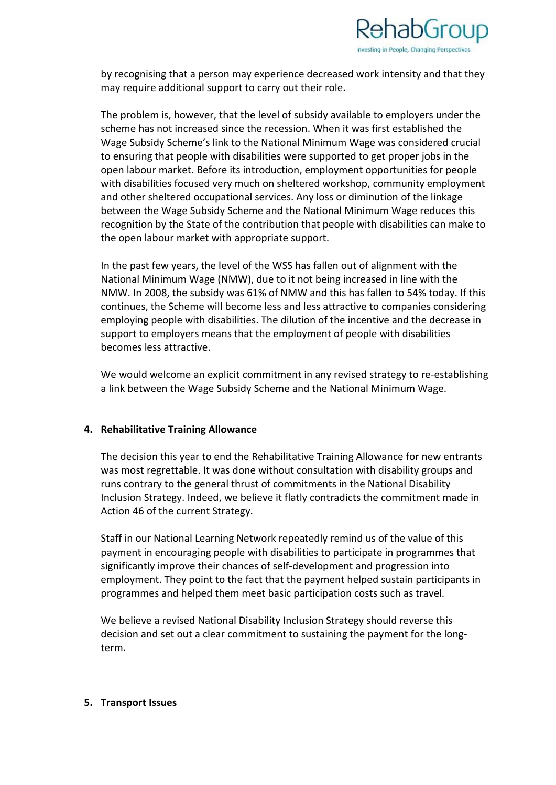

by recognising that a person may experience decreased work intensity and that they may require additional support to carry out their role.

The problem is, however, that the level of subsidy available to employers under the scheme has not increased since the recession. When it was first established the Wage Subsidy Scheme's link to the National Minimum Wage was considered crucial to ensuring that people with disabilities were supported to get proper jobs in the open labour market. Before its introduction, employment opportunities for people with disabilities focused very much on sheltered workshop, community employment and other sheltered occupational services. Any loss or diminution of the linkage between the Wage Subsidy Scheme and the National Minimum Wage reduces this recognition by the State of the contribution that people with disabilities can make to the open labour market with appropriate support.

In the past few years, the level of the WSS has fallen out of alignment with the National Minimum Wage (NMW), due to it not being increased in line with the NMW. In 2008, the subsidy was 61% of NMW and this has fallen to 54% today. If this continues, the Scheme will become less and less attractive to companies considering employing people with disabilities. The dilution of the incentive and the decrease in support to employers means that the employment of people with disabilities becomes less attractive.

We would welcome an explicit commitment in any revised strategy to re-establishing a link between the Wage Subsidy Scheme and the National Minimum Wage.

#### **4. Rehabilitative Training Allowance**

The decision this year to end the Rehabilitative Training Allowance for new entrants was most regrettable. It was done without consultation with disability groups and runs contrary to the general thrust of commitments in the National Disability Inclusion Strategy. Indeed, we believe it flatly contradicts the commitment made in Action 46 of the current Strategy.

Staff in our National Learning Network repeatedly remind us of the value of this payment in encouraging people with disabilities to participate in programmes that significantly improve their chances of self-development and progression into employment. They point to the fact that the payment helped sustain participants in programmes and helped them meet basic participation costs such as travel.

We believe a revised National Disability Inclusion Strategy should reverse this decision and set out a clear commitment to sustaining the payment for the longterm.

#### **5. Transport Issues**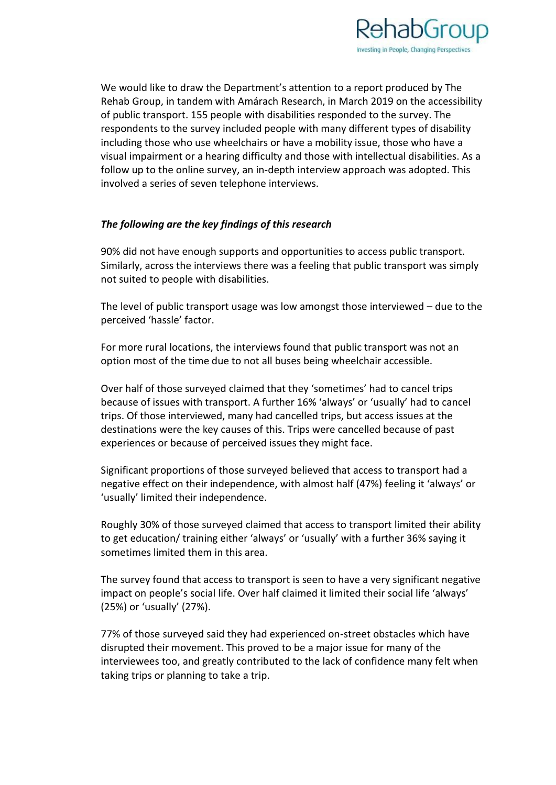

We would like to draw the Department's attention to a report produced by The Rehab Group, in tandem with Amárach Research, in March 2019 on the accessibility of public transport. 155 people with disabilities responded to the survey. The respondents to the survey included people with many different types of disability including those who use wheelchairs or have a mobility issue, those who have a visual impairment or a hearing difficulty and those with intellectual disabilities. As a follow up to the online survey, an in-depth interview approach was adopted. This involved a series of seven telephone interviews.

# *The following are the key findings of this research*

90% did not have enough supports and opportunities to access public transport. Similarly, across the interviews there was a feeling that public transport was simply not suited to people with disabilities.

The level of public transport usage was low amongst those interviewed – due to the perceived 'hassle' factor.

For more rural locations, the interviews found that public transport was not an option most of the time due to not all buses being wheelchair accessible.

Over half of those surveyed claimed that they 'sometimes' had to cancel trips because of issues with transport. A further 16% 'always' or 'usually' had to cancel trips. Of those interviewed, many had cancelled trips, but access issues at the destinations were the key causes of this. Trips were cancelled because of past experiences or because of perceived issues they might face.

Significant proportions of those surveyed believed that access to transport had a negative effect on their independence, with almost half (47%) feeling it 'always' or 'usually' limited their independence.

Roughly 30% of those surveyed claimed that access to transport limited their ability to get education/ training either 'always' or 'usually' with a further 36% saying it sometimes limited them in this area.

The survey found that access to transport is seen to have a very significant negative impact on people's social life. Over half claimed it limited their social life 'always' (25%) or 'usually' (27%).

77% of those surveyed said they had experienced on-street obstacles which have disrupted their movement. This proved to be a major issue for many of the interviewees too, and greatly contributed to the lack of confidence many felt when taking trips or planning to take a trip.